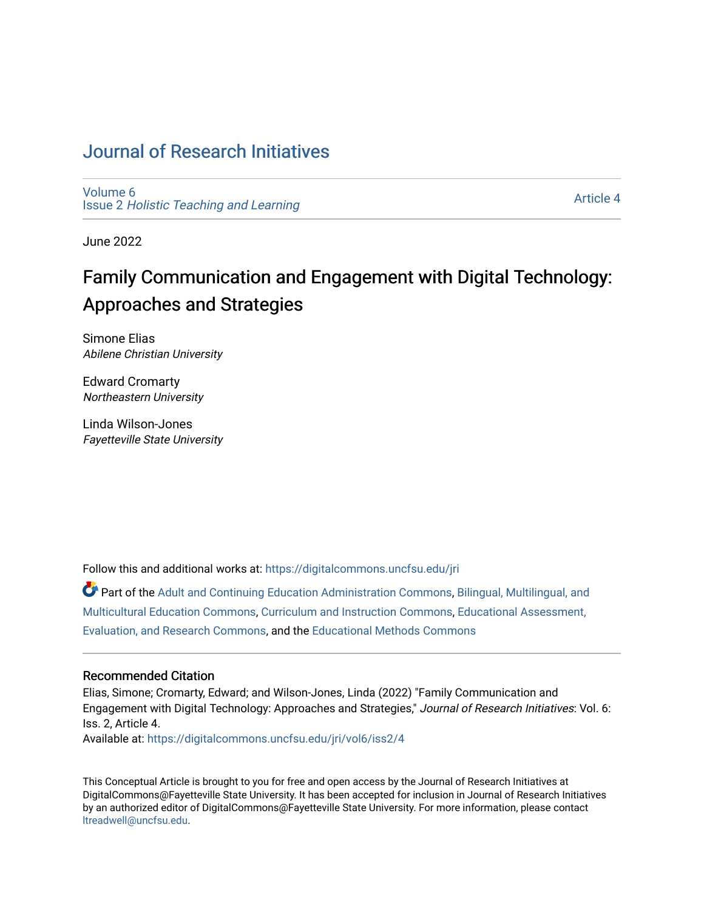# [Journal of Research Initiatives](https://digitalcommons.uncfsu.edu/jri)

[Volume 6](https://digitalcommons.uncfsu.edu/jri/vol6) Issue 2 [Holistic Teaching and Learning](https://digitalcommons.uncfsu.edu/jri/vol6/iss2)

[Article 4](https://digitalcommons.uncfsu.edu/jri/vol6/iss2/4) 

June 2022

# Family Communication and Engagement with Digital Technology: Approaches and Strategies

Simone Elias Abilene Christian University

Edward Cromarty Northeastern University

Linda Wilson-Jones Fayetteville State University

Follow this and additional works at: [https://digitalcommons.uncfsu.edu/jri](https://digitalcommons.uncfsu.edu/jri?utm_source=digitalcommons.uncfsu.edu%2Fjri%2Fvol6%2Fiss2%2F4&utm_medium=PDF&utm_campaign=PDFCoverPages) 

Part of the [Adult and Continuing Education Administration Commons](https://network.bepress.com/hgg/discipline/789?utm_source=digitalcommons.uncfsu.edu%2Fjri%2Fvol6%2Fiss2%2F4&utm_medium=PDF&utm_campaign=PDFCoverPages), Bilingual, Multilingual, and [Multicultural Education Commons,](https://network.bepress.com/hgg/discipline/785?utm_source=digitalcommons.uncfsu.edu%2Fjri%2Fvol6%2Fiss2%2F4&utm_medium=PDF&utm_campaign=PDFCoverPages) [Curriculum and Instruction Commons,](https://network.bepress.com/hgg/discipline/786?utm_source=digitalcommons.uncfsu.edu%2Fjri%2Fvol6%2Fiss2%2F4&utm_medium=PDF&utm_campaign=PDFCoverPages) [Educational Assessment,](https://network.bepress.com/hgg/discipline/796?utm_source=digitalcommons.uncfsu.edu%2Fjri%2Fvol6%2Fiss2%2F4&utm_medium=PDF&utm_campaign=PDFCoverPages)  [Evaluation, and Research Commons,](https://network.bepress.com/hgg/discipline/796?utm_source=digitalcommons.uncfsu.edu%2Fjri%2Fvol6%2Fiss2%2F4&utm_medium=PDF&utm_campaign=PDFCoverPages) and the [Educational Methods Commons](https://network.bepress.com/hgg/discipline/1227?utm_source=digitalcommons.uncfsu.edu%2Fjri%2Fvol6%2Fiss2%2F4&utm_medium=PDF&utm_campaign=PDFCoverPages)

## Recommended Citation

Elias, Simone; Cromarty, Edward; and Wilson-Jones, Linda (2022) "Family Communication and Engagement with Digital Technology: Approaches and Strategies," Journal of Research Initiatives: Vol. 6: Iss. 2, Article 4. Available at: [https://digitalcommons.uncfsu.edu/jri/vol6/iss2/4](https://digitalcommons.uncfsu.edu/jri/vol6/iss2/4?utm_source=digitalcommons.uncfsu.edu%2Fjri%2Fvol6%2Fiss2%2F4&utm_medium=PDF&utm_campaign=PDFCoverPages) 

This Conceptual Article is brought to you for free and open access by the Journal of Research Initiatives at DigitalCommons@Fayetteville State University. It has been accepted for inclusion in Journal of Research Initiatives by an authorized editor of DigitalCommons@Fayetteville State University. For more information, please contact [ltreadwell@uncfsu.edu](mailto:ltreadwell@uncfsu.edu).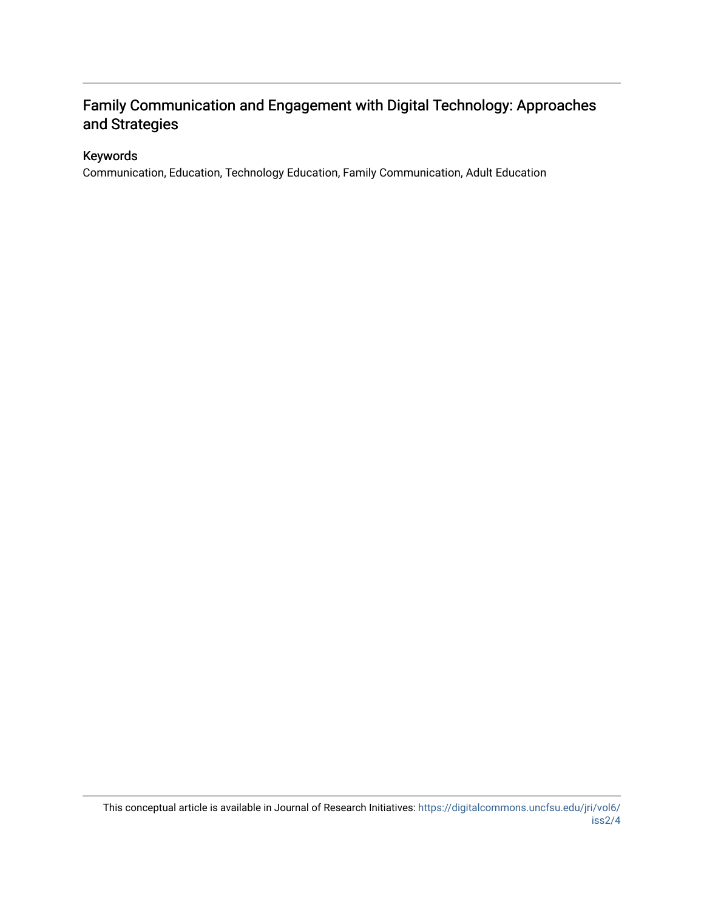# Family Communication and Engagement with Digital Technology: Approaches and Strategies

# Keywords

Communication, Education, Technology Education, Family Communication, Adult Education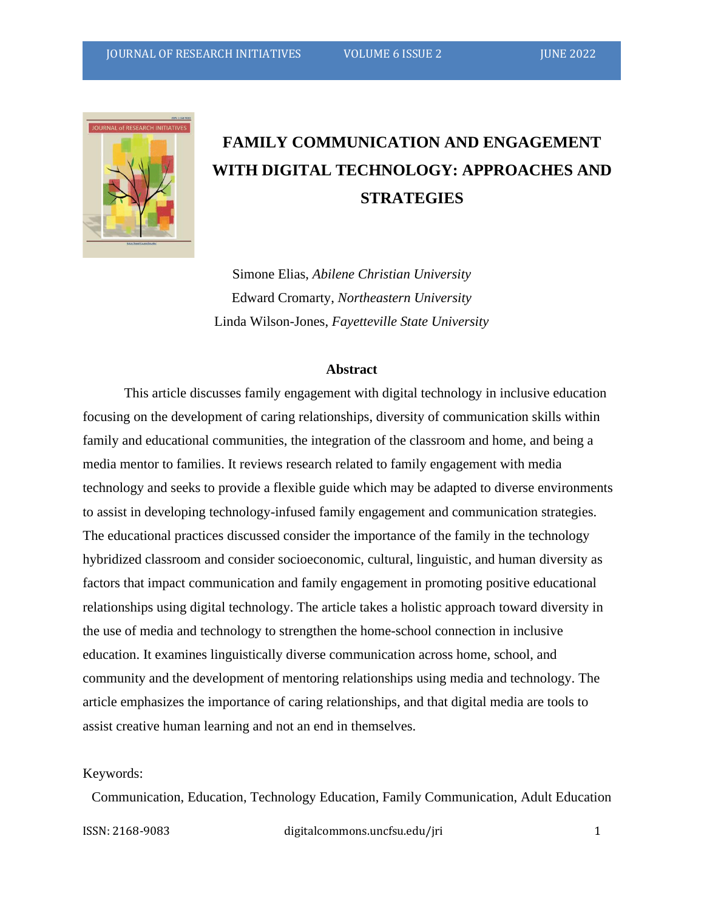

# **FAMILY COMMUNICATION AND ENGAGEMENT WITH DIGITAL TECHNOLOGY: APPROACHES AND STRATEGIES**

Simone Elias, *Abilene Christian University* Edward Cromarty, *Northeastern University* Linda Wilson-Jones, *Fayetteville State University*

#### **Abstract**

This article discusses family engagement with digital technology in inclusive education focusing on the development of caring relationships, diversity of communication skills within family and educational communities, the integration of the classroom and home, and being a media mentor to families. It reviews research related to family engagement with media technology and seeks to provide a flexible guide which may be adapted to diverse environments to assist in developing technology-infused family engagement and communication strategies. The educational practices discussed consider the importance of the family in the technology hybridized classroom and consider socioeconomic, cultural, linguistic, and human diversity as factors that impact communication and family engagement in promoting positive educational relationships using digital technology. The article takes a holistic approach toward diversity in the use of media and technology to strengthen the home-school connection in inclusive education. It examines linguistically diverse communication across home, school, and community and the development of mentoring relationships using media and technology. The article emphasizes the importance of caring relationships, and that digital media are tools to assist creative human learning and not an end in themselves.

## Keywords:

Communication, Education, Technology Education, Family Communication, Adult Education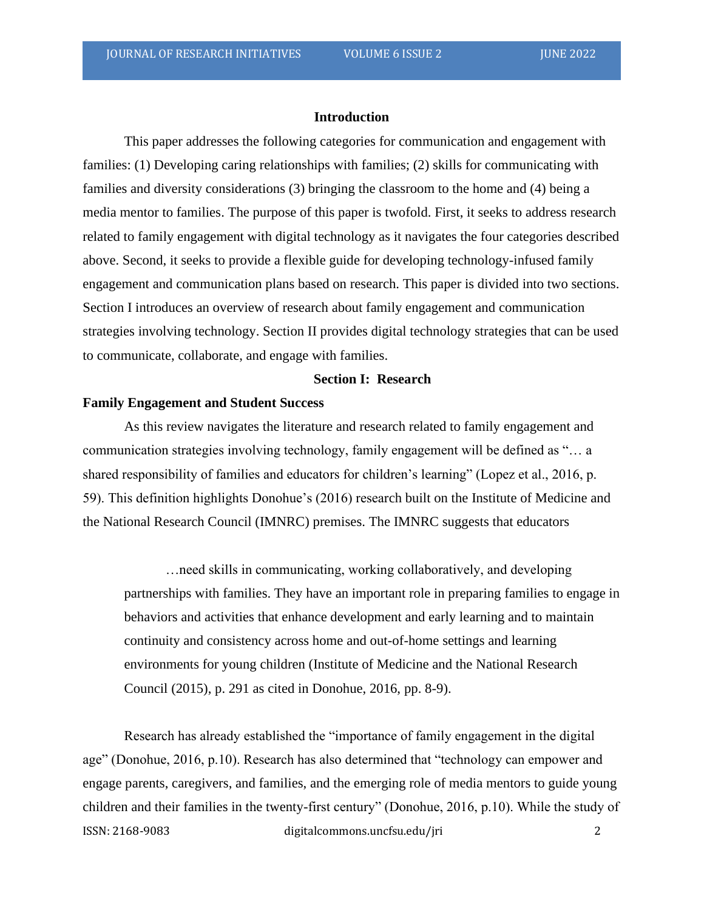## **Introduction**

This paper addresses the following categories for communication and engagement with families: (1) Developing caring relationships with families; (2) skills for communicating with families and diversity considerations (3) bringing the classroom to the home and (4) being a media mentor to families. The purpose of this paper is twofold. First, it seeks to address research related to family engagement with digital technology as it navigates the four categories described above. Second, it seeks to provide a flexible guide for developing technology-infused family engagement and communication plans based on research. This paper is divided into two sections. Section I introduces an overview of research about family engagement and communication strategies involving technology. Section II provides digital technology strategies that can be used to communicate, collaborate, and engage with families.

# **Section I: Research**

#### **Family Engagement and Student Success**

As this review navigates the literature and research related to family engagement and communication strategies involving technology, family engagement will be defined as "… a shared responsibility of families and educators for children's learning" (Lopez et al., 2016, p. 59). This definition highlights Donohue's (2016) research built on the Institute of Medicine and the National Research Council (IMNRC) premises. The IMNRC suggests that educators

…need skills in communicating, working collaboratively, and developing partnerships with families. They have an important role in preparing families to engage in behaviors and activities that enhance development and early learning and to maintain continuity and consistency across home and out-of-home settings and learning environments for young children (Institute of Medicine and the National Research Council (2015), p. 291 as cited in Donohue, 2016, pp. 8-9).

ISSN: 2168-9083 digitalcommons.uncfsu.edu/jri 2 Research has already established the "importance of family engagement in the digital age" (Donohue, 2016, p.10). Research has also determined that "technology can empower and engage parents, caregivers, and families, and the emerging role of media mentors to guide young children and their families in the twenty-first century" (Donohue, 2016, p.10). While the study of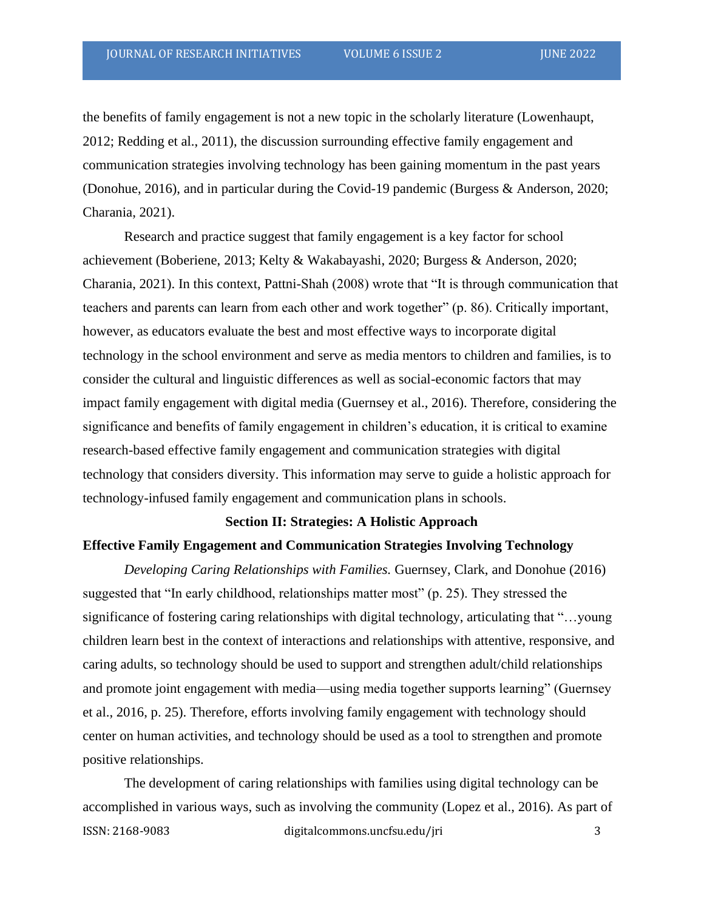the benefits of family engagement is not a new topic in the scholarly literature (Lowenhaupt, 2012; Redding et al., 2011), the discussion surrounding effective family engagement and communication strategies involving technology has been gaining momentum in the past years (Donohue, 2016), and in particular during the Covid-19 pandemic (Burgess & Anderson, 2020; Charania, 2021).

Research and practice suggest that family engagement is a key factor for school achievement (Boberiene, 2013; Kelty & Wakabayashi, 2020; Burgess & Anderson, 2020; Charania, 2021). In this context, Pattni-Shah (2008) wrote that "It is through communication that teachers and parents can learn from each other and work together" (p. 86). Critically important, however, as educators evaluate the best and most effective ways to incorporate digital technology in the school environment and serve as media mentors to children and families, is to consider the cultural and linguistic differences as well as social-economic factors that may impact family engagement with digital media (Guernsey et al., 2016). Therefore, considering the significance and benefits of family engagement in children's education, it is critical to examine research-based effective family engagement and communication strategies with digital technology that considers diversity. This information may serve to guide a holistic approach for technology-infused family engagement and communication plans in schools.

#### **Section II: Strategies: A Holistic Approach**

#### **Effective Family Engagement and Communication Strategies Involving Technology**

*Developing Caring Relationships with Families.* Guernsey, Clark, and Donohue (2016) suggested that "In early childhood, relationships matter most" (p. 25). They stressed the significance of fostering caring relationships with digital technology, articulating that "…young children learn best in the context of interactions and relationships with attentive, responsive, and caring adults, so technology should be used to support and strengthen adult/child relationships and promote joint engagement with media—using media together supports learning" (Guernsey et al., 2016, p. 25). Therefore, efforts involving family engagement with technology should center on human activities, and technology should be used as a tool to strengthen and promote positive relationships.

ISSN: 2168-9083 digitalcommons.uncfsu.edu/jri 3 The development of caring relationships with families using digital technology can be accomplished in various ways, such as involving the community (Lopez et al., 2016). As part of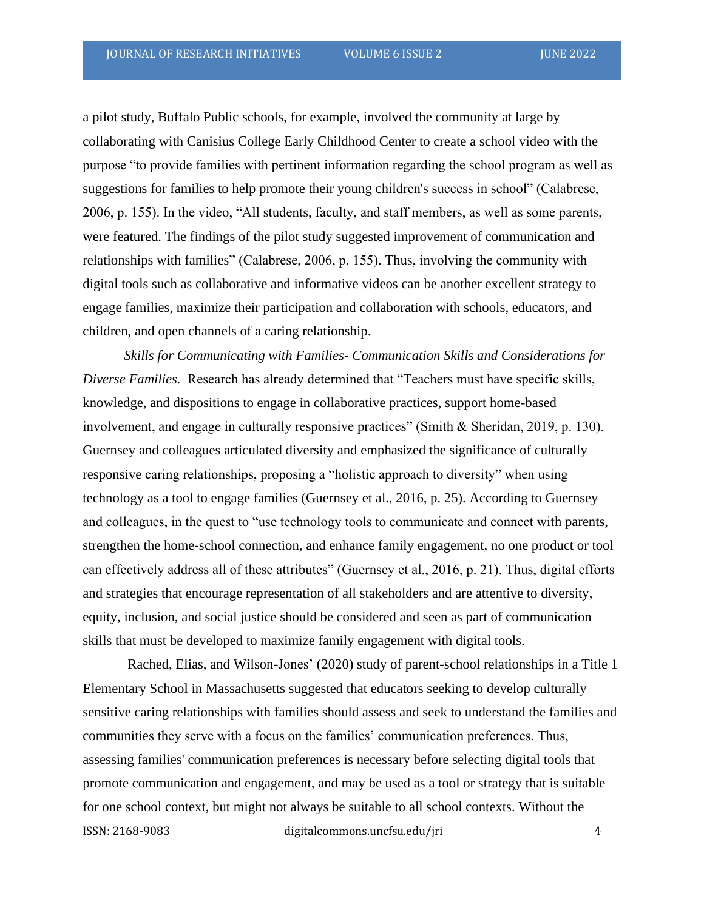a pilot study, Buffalo Public schools, for example, involved the community at large by collaborating with Canisius College Early Childhood Center to create a school video with the purpose "to provide families with pertinent information regarding the school program as well as suggestions for families to help promote their young children's success in school" (Calabrese, 2006, p. 155). In the video, "All students, faculty, and staff members, as well as some parents, were featured. The findings of the pilot study suggested improvement of communication and relationships with families" (Calabrese, 2006, p. 155). Thus, involving the community with digital tools such as collaborative and informative videos can be another excellent strategy to engage families, maximize their participation and collaboration with schools, educators, and children, and open channels of a caring relationship.

*Skills for Communicating with Families- Communication Skills and Considerations for Diverse Families.* Research has already determined that "Teachers must have specific skills, knowledge, and dispositions to engage in collaborative practices, support home-based involvement, and engage in culturally responsive practices" (Smith & Sheridan, 2019, p. 130). Guernsey and colleagues articulated diversity and emphasized the significance of culturally responsive caring relationships, proposing a "holistic approach to diversity" when using technology as a tool to engage families (Guernsey et al., 2016, p. 25). According to Guernsey and colleagues, in the quest to "use technology tools to communicate and connect with parents, strengthen the home-school connection, and enhance family engagement, no one product or tool can effectively address all of these attributes" (Guernsey et al., 2016, p. 21). Thus, digital efforts and strategies that encourage representation of all stakeholders and are attentive to diversity, equity, inclusion, and social justice should be considered and seen as part of communication skills that must be developed to maximize family engagement with digital tools.

ISSN: 2168-9083 digitalcommons.uncfsu.edu/jri 4 Rached, Elias, and Wilson-Jones' (2020) study of parent-school relationships in a Title 1 Elementary School in Massachusetts suggested that educators seeking to develop culturally sensitive caring relationships with families should assess and seek to understand the families and communities they serve with a focus on the families' communication preferences. Thus, assessing families' communication preferences is necessary before selecting digital tools that promote communication and engagement, and may be used as a tool or strategy that is suitable for one school context, but might not always be suitable to all school contexts. Without the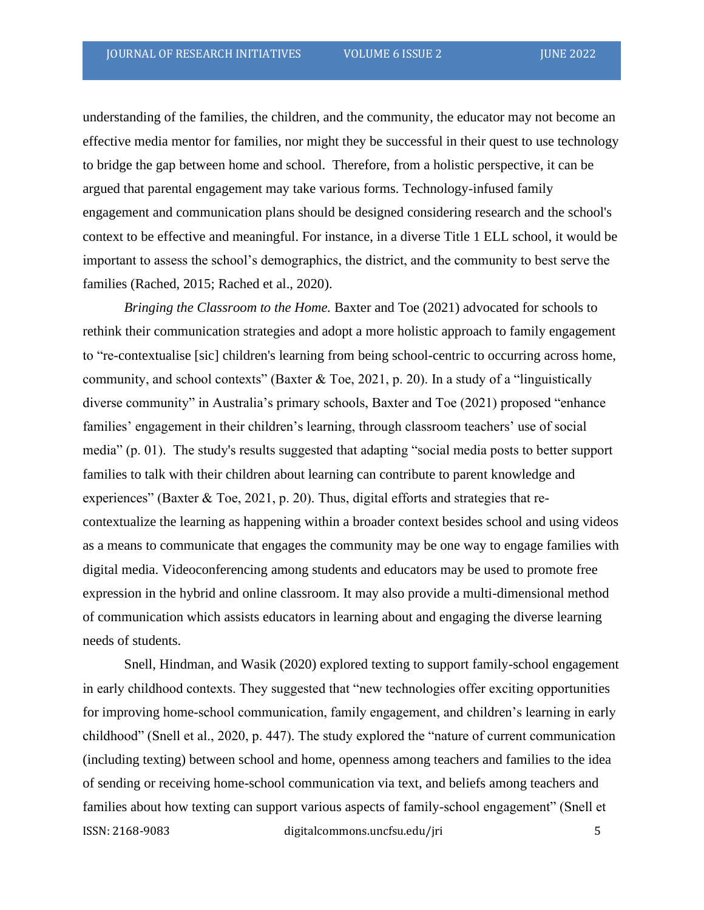understanding of the families, the children, and the community, the educator may not become an effective media mentor for families, nor might they be successful in their quest to use technology to bridge the gap between home and school. Therefore, from a holistic perspective, it can be argued that parental engagement may take various forms. Technology-infused family engagement and communication plans should be designed considering research and the school's context to be effective and meaningful. For instance, in a diverse Title 1 ELL school, it would be important to assess the school's demographics, the district, and the community to best serve the families (Rached, 2015; Rached et al., 2020).

*Bringing the Classroom to the Home.* Baxter and Toe (2021) advocated for schools to rethink their communication strategies and adopt a more holistic approach to family engagement to "re-contextualise [sic] children's learning from being school-centric to occurring across home, community, and school contexts" (Baxter & Toe, 2021, p. 20). In a study of a "linguistically diverse community" in Australia's primary schools, Baxter and Toe (2021) proposed "enhance families' engagement in their children's learning, through classroom teachers' use of social media" (p. 01). The study's results suggested that adapting "social media posts to better support families to talk with their children about learning can contribute to parent knowledge and experiences" (Baxter & Toe, 2021, p. 20). Thus, digital efforts and strategies that recontextualize the learning as happening within a broader context besides school and using videos as a means to communicate that engages the community may be one way to engage families with digital media. Videoconferencing among students and educators may be used to promote free expression in the hybrid and online classroom. It may also provide a multi-dimensional method of communication which assists educators in learning about and engaging the diverse learning needs of students.

ISSN: 2168-9083 digitalcommons.uncfsu.edu/jri 5 Snell, Hindman, and Wasik (2020) explored texting to support family-school engagement in early childhood contexts. They suggested that "new technologies offer exciting opportunities for improving home-school communication, family engagement, and children's learning in early childhood" (Snell et al., 2020, p. 447). The study explored the "nature of current communication (including texting) between school and home, openness among teachers and families to the idea of sending or receiving home-school communication via text, and beliefs among teachers and families about how texting can support various aspects of family-school engagement" (Snell et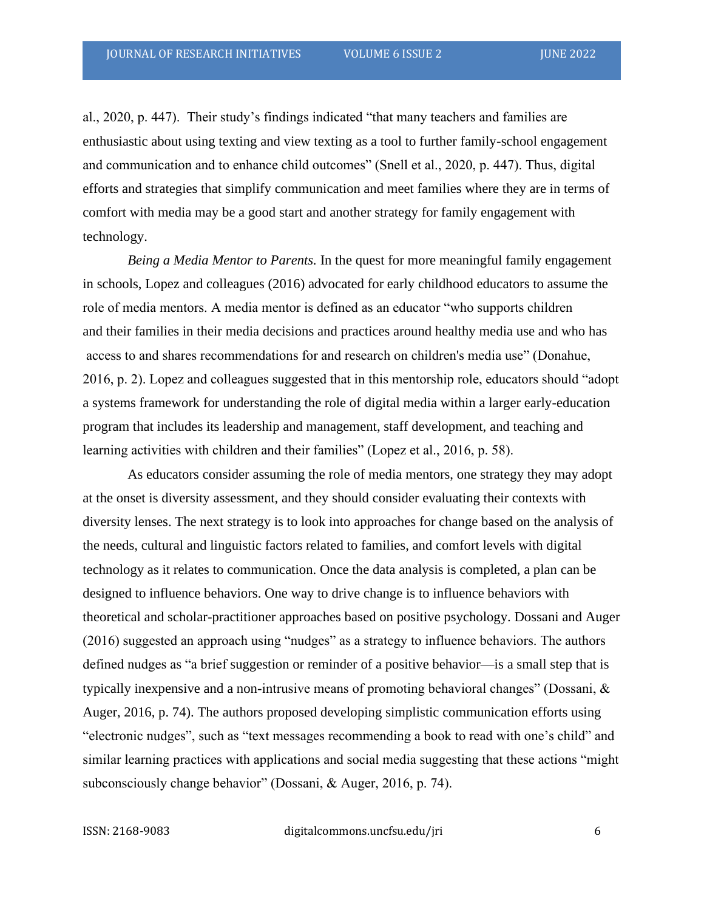al., 2020, p. 447). Their study's findings indicated "that many teachers and families are enthusiastic about using texting and view texting as a tool to further family-school engagement and communication and to enhance child outcomes" (Snell et al., 2020, p. 447). Thus, digital efforts and strategies that simplify communication and meet families where they are in terms of comfort with media may be a good start and another strategy for family engagement with technology.

*Being a Media Mentor to Parents.* In the quest for more meaningful family engagement in schools, Lopez and colleagues (2016) advocated for early childhood educators to assume the role of media mentors. A media mentor is defined as an educator "who supports children and their families in their media decisions and practices around healthy media use and who has access to and shares recommendations for and research on children's media use" (Donahue, 2016, p. 2). Lopez and colleagues suggested that in this mentorship role, educators should "adopt a systems framework for understanding the role of digital media within a larger early-education program that includes its leadership and management, staff development, and teaching and learning activities with children and their families" (Lopez et al., 2016, p. 58).

As educators consider assuming the role of media mentors, one strategy they may adopt at the onset is diversity assessment, and they should consider evaluating their contexts with diversity lenses. The next strategy is to look into approaches for change based on the analysis of the needs, cultural and linguistic factors related to families, and comfort levels with digital technology as it relates to communication. Once the data analysis is completed, a plan can be designed to influence behaviors. One way to drive change is to influence behaviors with theoretical and scholar-practitioner approaches based on positive psychology. Dossani and Auger (2016) suggested an approach using "nudges" as a strategy to influence behaviors. The authors defined nudges as "a brief suggestion or reminder of a positive behavior—is a small step that is typically inexpensive and a non-intrusive means of promoting behavioral changes" (Dossani, & Auger, 2016, p. 74). The authors proposed developing simplistic communication efforts using "electronic nudges", such as "text messages recommending a book to read with one's child" and similar learning practices with applications and social media suggesting that these actions "might subconsciously change behavior" (Dossani, & Auger, 2016, p. 74).

ISSN: 2168-9083 digitalcommons.uncfsu.edu/jri 6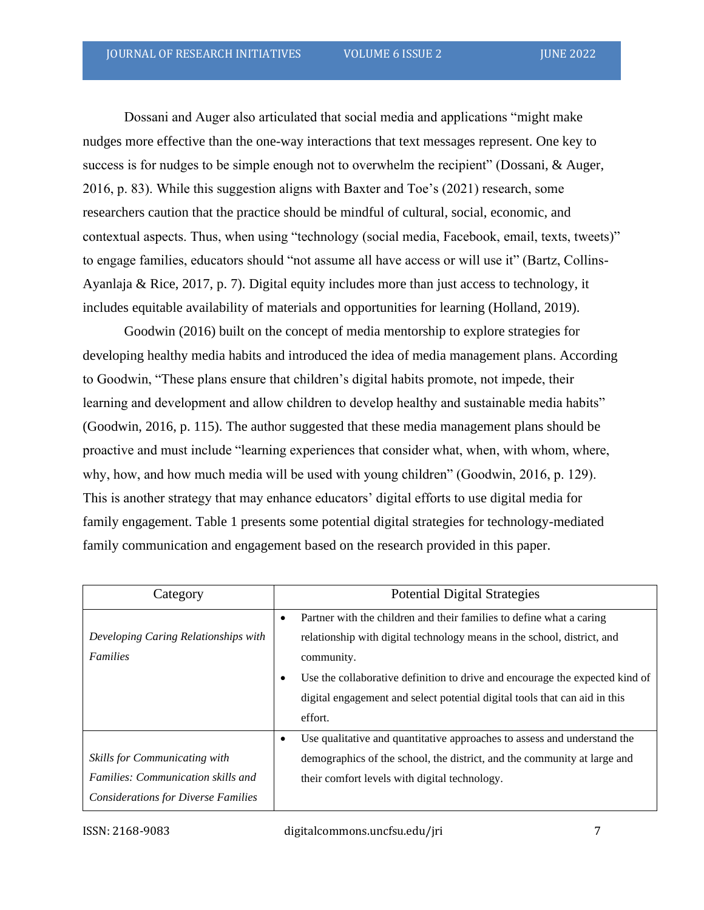Dossani and Auger also articulated that social media and applications "might make nudges more effective than the one-way interactions that text messages represent. One key to success is for nudges to be simple enough not to overwhelm the recipient" (Dossani, & Auger, 2016, p. 83). While this suggestion aligns with Baxter and Toe's (2021) research, some researchers caution that the practice should be mindful of cultural, social, economic, and contextual aspects. Thus, when using "technology (social media, Facebook, email, texts, tweets)" to engage families, educators should "not assume all have access or will use it" (Bartz, Collins-Ayanlaja & Rice, 2017, p. 7). Digital equity includes more than just access to technology, it includes equitable availability of materials and opportunities for learning (Holland, 2019).

Goodwin (2016) built on the concept of media mentorship to explore strategies for developing healthy media habits and introduced the idea of media management plans. According to Goodwin, "These plans ensure that children's digital habits promote, not impede, their learning and development and allow children to develop healthy and sustainable media habits" (Goodwin, 2016, p. 115). The author suggested that these media management plans should be proactive and must include "learning experiences that consider what, when, with whom, where, why, how, and how much media will be used with young children" (Goodwin, 2016, p. 129). This is another strategy that may enhance educators' digital efforts to use digital media for family engagement. Table 1 presents some potential digital strategies for technology-mediated family communication and engagement based on the research provided in this paper.

| Category                                   | <b>Potential Digital Strategies</b>                                                                                                                  |
|--------------------------------------------|------------------------------------------------------------------------------------------------------------------------------------------------------|
| Developing Caring Relationships with       | Partner with the children and their families to define what a caring<br>٠<br>relationship with digital technology means in the school, district, and |
| Families                                   | community.                                                                                                                                           |
|                                            | Use the collaborative definition to drive and encourage the expected kind of<br>٠                                                                    |
|                                            | digital engagement and select potential digital tools that can aid in this                                                                           |
|                                            | effort.                                                                                                                                              |
|                                            | Use qualitative and quantitative approaches to assess and understand the<br>٠                                                                        |
| <b>Skills for Communicating with</b>       | demographics of the school, the district, and the community at large and                                                                             |
| Families: Communication skills and         | their comfort levels with digital technology.                                                                                                        |
| <b>Considerations for Diverse Families</b> |                                                                                                                                                      |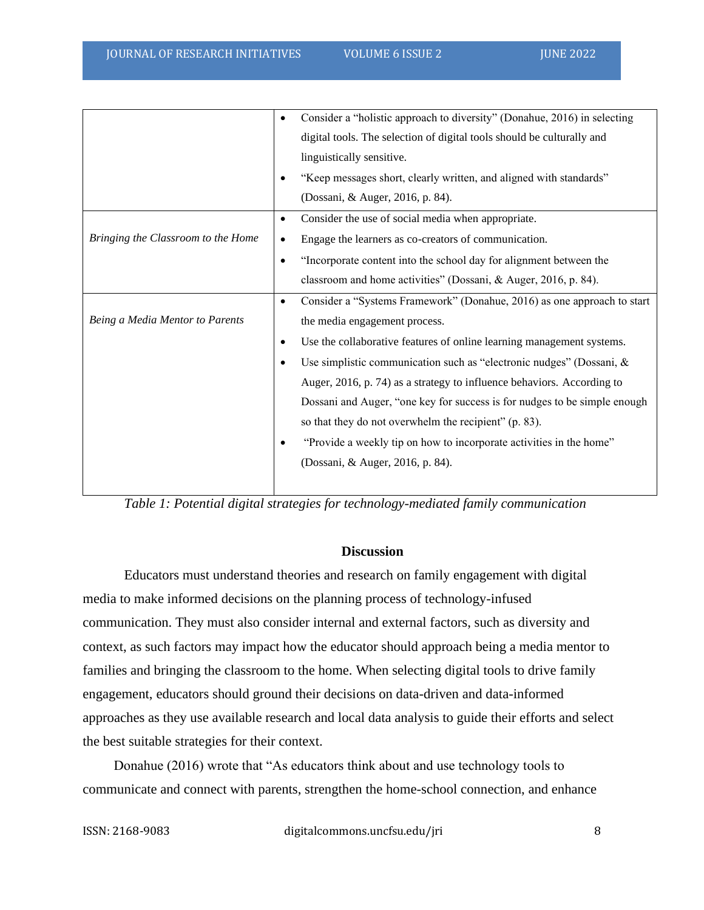|                                    | ٠         | Consider a "holistic approach to diversity" (Donahue, 2016) in selecting  |
|------------------------------------|-----------|---------------------------------------------------------------------------|
|                                    |           | digital tools. The selection of digital tools should be culturally and    |
|                                    |           | linguistically sensitive.                                                 |
|                                    | ٠         | "Keep messages short, clearly written, and aligned with standards"        |
|                                    |           | (Dossani, & Auger, 2016, p. 84).                                          |
|                                    | $\bullet$ | Consider the use of social media when appropriate.                        |
| Bringing the Classroom to the Home | $\bullet$ | Engage the learners as co-creators of communication.                      |
|                                    | $\bullet$ | "Incorporate content into the school day for alignment between the        |
|                                    |           | classroom and home activities" (Dossani, & Auger, 2016, p. 84).           |
|                                    | $\bullet$ | Consider a "Systems Framework" (Donahue, 2016) as one approach to start   |
| Being a Media Mentor to Parents    |           | the media engagement process.                                             |
|                                    | ٠         | Use the collaborative features of online learning management systems.     |
|                                    | ٠         | Use simplistic communication such as "electronic nudges" (Dossani, &      |
|                                    |           | Auger, 2016, p. 74) as a strategy to influence behaviors. According to    |
|                                    |           | Dossani and Auger, "one key for success is for nudges to be simple enough |
|                                    |           | so that they do not overwhelm the recipient" (p. 83).                     |
|                                    |           | "Provide a weekly tip on how to incorporate activities in the home"       |
|                                    |           | (Dossani, & Auger, 2016, p. 84).                                          |
|                                    |           |                                                                           |

*Table 1: Potential digital strategies for technology-mediated family communication*

#### **Discussion**

Educators must understand theories and research on family engagement with digital media to make informed decisions on the planning process of technology-infused communication. They must also consider internal and external factors, such as diversity and context, as such factors may impact how the educator should approach being a media mentor to families and bringing the classroom to the home. When selecting digital tools to drive family engagement, educators should ground their decisions on data-driven and data-informed approaches as they use available research and local data analysis to guide their efforts and select the best suitable strategies for their context.

Donahue (2016) wrote that "As educators think about and use technology tools to communicate and connect with parents, strengthen the home-school connection, and enhance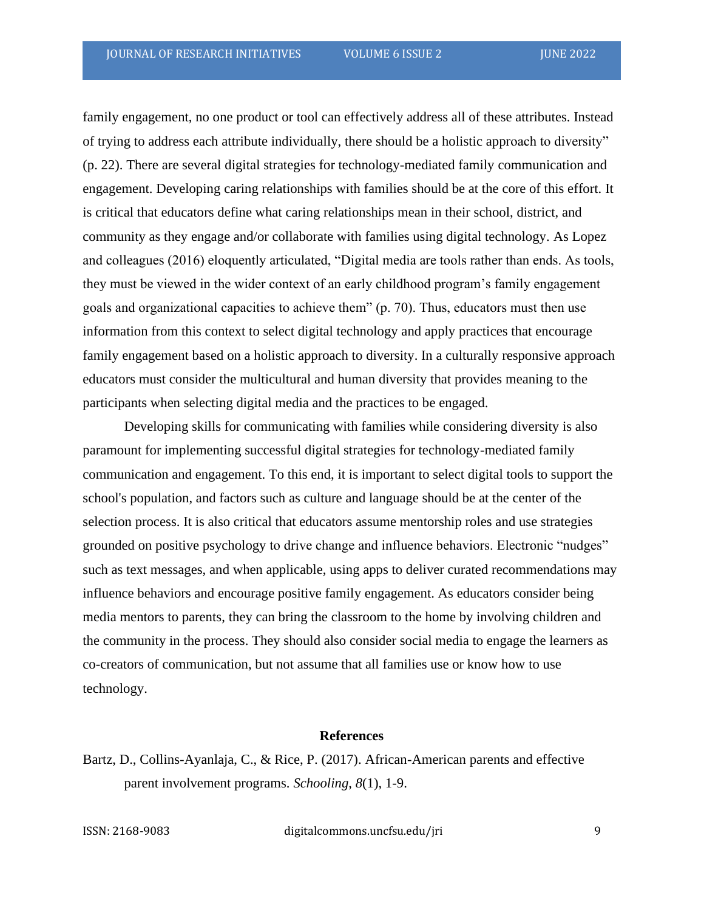family engagement, no one product or tool can effectively address all of these attributes. Instead of trying to address each attribute individually, there should be a holistic approach to diversity" (p. 22). There are several digital strategies for technology-mediated family communication and engagement. Developing caring relationships with families should be at the core of this effort. It is critical that educators define what caring relationships mean in their school, district, and community as they engage and/or collaborate with families using digital technology. As Lopez and colleagues (2016) eloquently articulated, "Digital media are tools rather than ends. As tools, they must be viewed in the wider context of an early childhood program's family engagement goals and organizational capacities to achieve them" (p. 70). Thus, educators must then use information from this context to select digital technology and apply practices that encourage family engagement based on a holistic approach to diversity. In a culturally responsive approach educators must consider the multicultural and human diversity that provides meaning to the participants when selecting digital media and the practices to be engaged.

Developing skills for communicating with families while considering diversity is also paramount for implementing successful digital strategies for technology-mediated family communication and engagement. To this end, it is important to select digital tools to support the school's population, and factors such as culture and language should be at the center of the selection process. It is also critical that educators assume mentorship roles and use strategies grounded on positive psychology to drive change and influence behaviors. Electronic "nudges" such as text messages, and when applicable, using apps to deliver curated recommendations may influence behaviors and encourage positive family engagement. As educators consider being media mentors to parents, they can bring the classroom to the home by involving children and the community in the process. They should also consider social media to engage the learners as co-creators of communication, but not assume that all families use or know how to use technology.

### **References**

Bartz, D., Collins-Ayanlaja, C., & Rice, P. (2017). African-American parents and effective parent involvement programs. *Schooling*, *8*(1), 1-9.

ISSN: 2168-9083 digitalcommons.uncfsu.edu/jri 9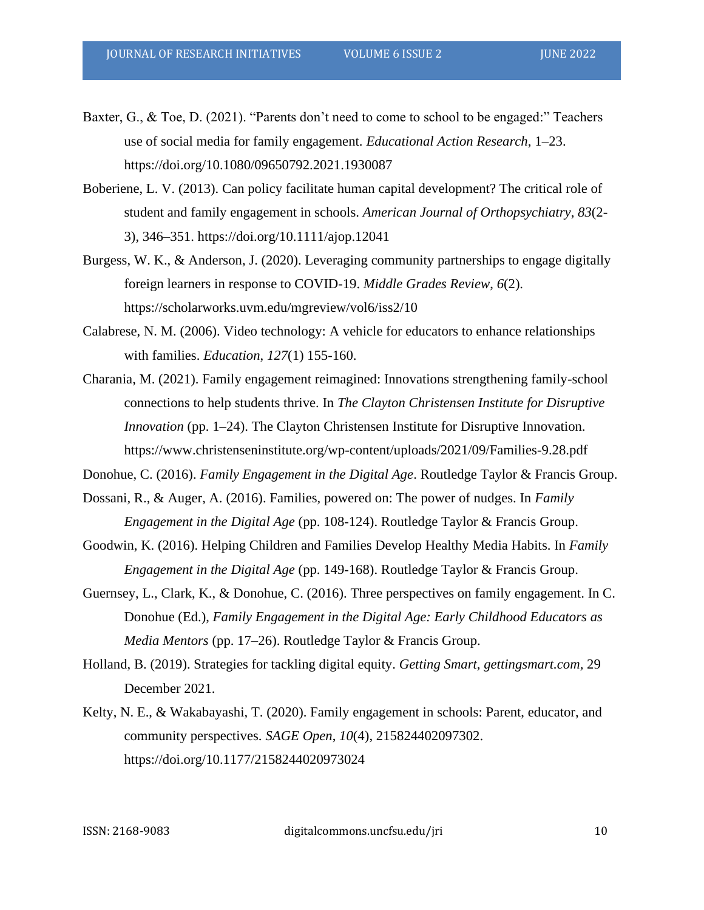- Baxter, G., & Toe, D. (2021). "Parents don't need to come to school to be engaged:" Teachers use of social media for family engagement. *Educational Action Research*, 1–23. https://doi.org/10.1080/09650792.2021.1930087
- Boberiene, L. V. (2013). Can policy facilitate human capital development? The critical role of student and family engagement in schools. *American Journal of Orthopsychiatry*, *83*(2- 3), 346–351. https://doi.org/10.1111/ajop.12041
- Burgess, W. K., & Anderson, J. (2020). Leveraging community partnerships to engage digitally foreign learners in response to COVID-19. *Middle Grades Review*, *6*(2). https://scholarworks.uvm.edu/mgreview/vol6/iss2/10
- Calabrese, N. M. (2006). Video technology: A vehicle for educators to enhance relationships with families. *Education*, *127*(1) 155-160.
- Charania, M. (2021). Family engagement reimagined: Innovations strengthening family-school connections to help students thrive. In *The Clayton Christensen Institute for Disruptive Innovation* (pp. 1–24). The Clayton Christensen Institute for Disruptive Innovation. https://www.christenseninstitute.org/wp-content/uploads/2021/09/Families-9.28.pdf
- Donohue, C. (2016). *Family Engagement in the Digital Age*. Routledge Taylor & Francis Group.
- Dossani, R., & Auger, A. (2016). Families, powered on: The power of nudges. In *Family Engagement in the Digital Age* (pp. 108-124). Routledge Taylor & Francis Group.
- Goodwin, K. (2016). Helping Children and Families Develop Healthy Media Habits. In *Family Engagement in the Digital Age* (pp. 149-168). Routledge Taylor & Francis Group.
- Guernsey, L., Clark, K., & Donohue, C. (2016). Three perspectives on family engagement. In C. Donohue (Ed.), *Family Engagement in the Digital Age: Early Childhood Educators as Media Mentors* (pp. 17–26). Routledge Taylor & Francis Group.
- Holland, B. (2019). Strategies for tackling digital equity. *Getting Smart, gettingsmart.com,* 29 December 2021.
- Kelty, N. E., & Wakabayashi, T. (2020). Family engagement in schools: Parent, educator, and community perspectives. *SAGE Open*, *10*(4), 215824402097302. https://doi.org/10.1177/2158244020973024